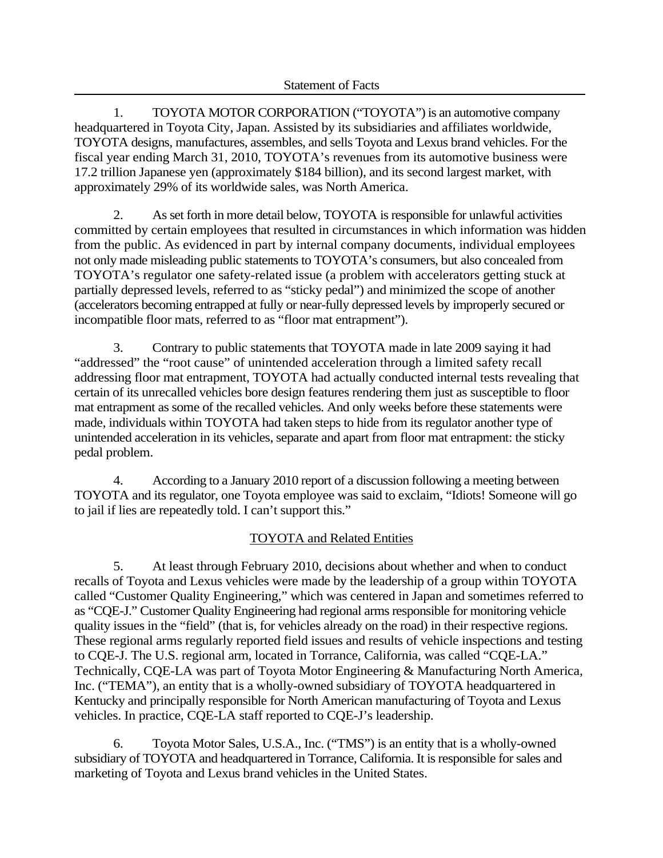1. TOYOTA MOTOR CORPORATION ("TOYOTA") is an automotive company headquartered in Toyota City, Japan. Assisted by its subsidiaries and affiliates worldwide, TOYOTA designs, manufactures, assembles, and sells Toyota and Lexus brand vehicles. For the fiscal year ending March 31, 2010, TOYOTA's revenues from its automotive business were 17.2 trillion Japanese yen (approximately \$184 billion), and its second largest market, with approximately 29% of its worldwide sales, was North America.

2. As set forth in more detail below, TOYOTA is responsible for unlawful activities committed by certain employees that resulted in circumstances in which information was hidden from the public. As evidenced in part by internal company documents, individual employees not only made misleading public statements to TOYOTA's consumers, but also concealed from TOYOTA's regulator one safety-related issue (a problem with accelerators getting stuck at partially depressed levels, referred to as "sticky pedal") and minimized the scope of another (accelerators becoming entrapped at fully or near-fully depressed levels by improperly secured or incompatible floor mats, referred to as "floor mat entrapment").

3. Contrary to public statements that TOYOTA made in late 2009 saying it had "addressed" the "root cause" of unintended acceleration through a limited safety recall addressing floor mat entrapment, TOYOTA had actually conducted internal tests revealing that certain of its unrecalled vehicles bore design features rendering them just as susceptible to floor mat entrapment as some of the recalled vehicles. And only weeks before these statements were made, individuals within TOYOTA had taken steps to hide from its regulator another type of unintended acceleration in its vehicles, separate and apart from floor mat entrapment: the sticky pedal problem.

4. According to a January 2010 report of a discussion following a meeting between TOYOTA and its regulator, one Toyota employee was said to exclaim, "Idiots! Someone will go to jail if lies are repeatedly told. I can't support this."

## TOYOTA and Related Entities

5. At least through February 2010, decisions about whether and when to conduct recalls of Toyota and Lexus vehicles were made by the leadership of a group within TOYOTA called "Customer Quality Engineering," which was centered in Japan and sometimes referred to as "CQE-J." Customer Quality Engineering had regional arms responsible for monitoring vehicle quality issues in the "field" (that is, for vehicles already on the road) in their respective regions. These regional arms regularly reported field issues and results of vehicle inspections and testing to CQE-J. The U.S. regional arm, located in Torrance, California, was called "CQE-LA." Technically, CQE-LA was part of Toyota Motor Engineering & Manufacturing North America, Inc. ("TEMA"), an entity that is a wholly-owned subsidiary of TOYOTA headquartered in Kentucky and principally responsible for North American manufacturing of Toyota and Lexus vehicles. In practice, CQE-LA staff reported to CQE-J's leadership.

6. Toyota Motor Sales, U.S.A., Inc. ("TMS") is an entity that is a wholly-owned subsidiary of TOYOTA and headquartered in Torrance, California. It is responsible for sales and marketing of Toyota and Lexus brand vehicles in the United States.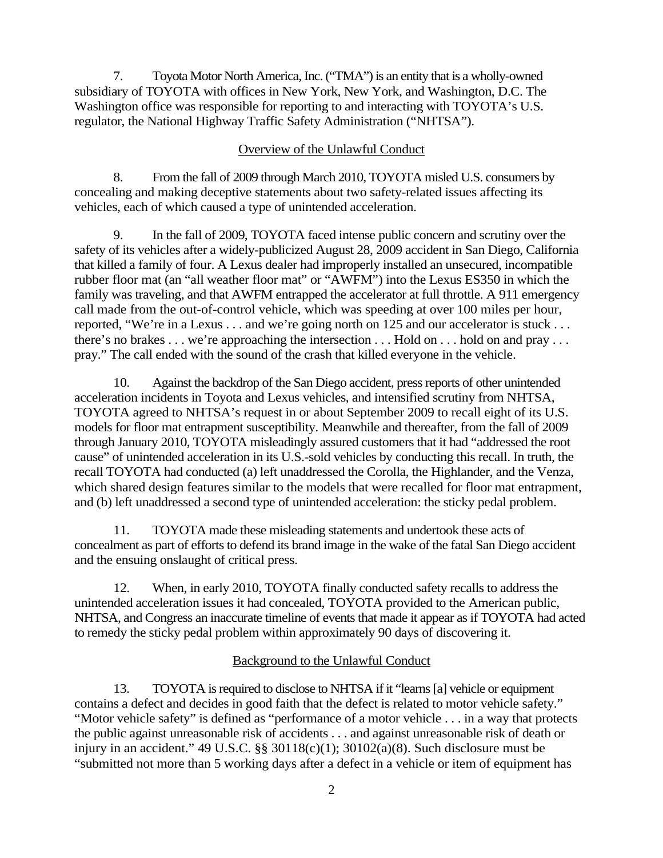7. Toyota Motor North America, Inc. ("TMA") is an entity that is a wholly-owned subsidiary of TOYOTA with offices in New York, New York, and Washington, D.C. The Washington office was responsible for reporting to and interacting with TOYOTA's U.S. regulator, the National Highway Traffic Safety Administration ("NHTSA").

#### Overview of the Unlawful Conduct

8. From the fall of 2009 through March 2010, TOYOTA misled U.S. consumers by concealing and making deceptive statements about two safety-related issues affecting its vehicles, each of which caused a type of unintended acceleration.

9. In the fall of 2009, TOYOTA faced intense public concern and scrutiny over the safety of its vehicles after a widely-publicized August 28, 2009 accident in San Diego, California that killed a family of four. A Lexus dealer had improperly installed an unsecured, incompatible rubber floor mat (an "all weather floor mat" or "AWFM") into the Lexus ES350 in which the family was traveling, and that AWFM entrapped the accelerator at full throttle. A 911 emergency call made from the out-of-control vehicle, which was speeding at over 100 miles per hour, reported, "We're in a Lexus . . . and we're going north on 125 and our accelerator is stuck . . . there's no brakes . . . we're approaching the intersection . . . Hold on . . . hold on and pray . . . pray." The call ended with the sound of the crash that killed everyone in the vehicle.

10. Against the backdrop of the San Diego accident, press reports of other unintended acceleration incidents in Toyota and Lexus vehicles, and intensified scrutiny from NHTSA, TOYOTA agreed to NHTSA's request in or about September 2009 to recall eight of its U.S. models for floor mat entrapment susceptibility. Meanwhile and thereafter, from the fall of 2009 through January 2010, TOYOTA misleadingly assured customers that it had "addressed the root cause" of unintended acceleration in its U.S.-sold vehicles by conducting this recall. In truth, the recall TOYOTA had conducted (a) left unaddressed the Corolla, the Highlander, and the Venza, which shared design features similar to the models that were recalled for floor mat entrapment, and (b) left unaddressed a second type of unintended acceleration: the sticky pedal problem.

11. TOYOTA made these misleading statements and undertook these acts of concealment as part of efforts to defend its brand image in the wake of the fatal San Diego accident and the ensuing onslaught of critical press.

12. When, in early 2010, TOYOTA finally conducted safety recalls to address the unintended acceleration issues it had concealed, TOYOTA provided to the American public, NHTSA, and Congress an inaccurate timeline of events that made it appear as if TOYOTA had acted to remedy the sticky pedal problem within approximately 90 days of discovering it.

#### Background to the Unlawful Conduct

13. TOYOTA is required to disclose to NHTSA if it "learns [a] vehicle or equipment contains a defect and decides in good faith that the defect is related to motor vehicle safety." "Motor vehicle safety" is defined as "performance of a motor vehicle . . . in a way that protects the public against unreasonable risk of accidents . . . and against unreasonable risk of death or injury in an accident."  $49 \text{ U.S.C.}$  §§  $30118(c)(1)$ ;  $30102(a)(8)$ . Such disclosure must be "submitted not more than 5 working days after a defect in a vehicle or item of equipment has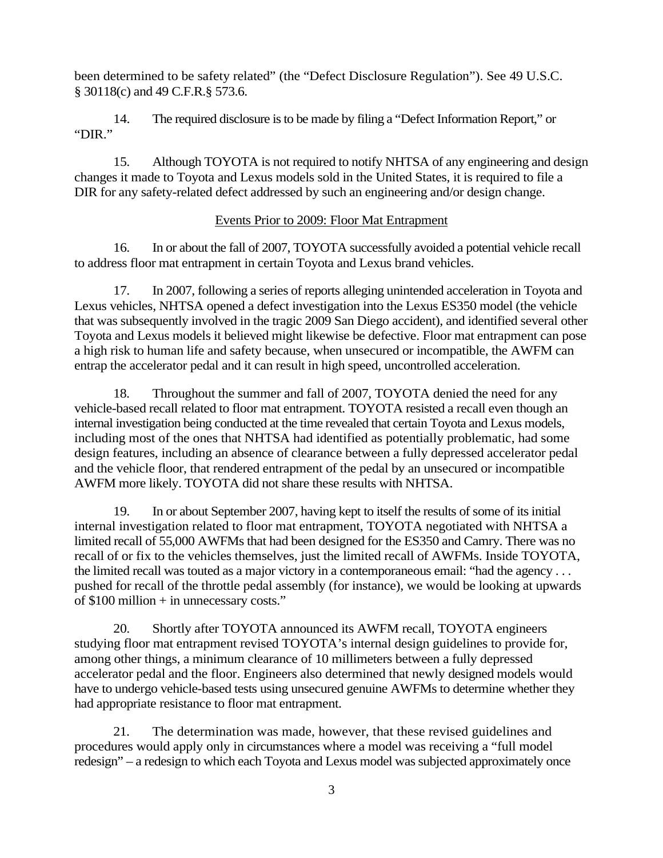been determined to be safety related" (the "Defect Disclosure Regulation"). See 49 U.S.C. § 30118(c) and 49 C.F.R.§ 573.6.

14. The required disclosure is to be made by filing a "Defect Information Report," or "DIR."

15. Although TOYOTA is not required to notify NHTSA of any engineering and design changes it made to Toyota and Lexus models sold in the United States, it is required to file a DIR for any safety-related defect addressed by such an engineering and/or design change.

# Events Prior to 2009: Floor Mat Entrapment

16. In or about the fall of 2007, TOYOTA successfully avoided a potential vehicle recall to address floor mat entrapment in certain Toyota and Lexus brand vehicles.

17. In 2007, following a series of reports alleging unintended acceleration in Toyota and Lexus vehicles, NHTSA opened a defect investigation into the Lexus ES350 model (the vehicle that was subsequently involved in the tragic 2009 San Diego accident), and identified several other Toyota and Lexus models it believed might likewise be defective. Floor mat entrapment can pose a high risk to human life and safety because, when unsecured or incompatible, the AWFM can entrap the accelerator pedal and it can result in high speed, uncontrolled acceleration.

18. Throughout the summer and fall of 2007, TOYOTA denied the need for any vehicle-based recall related to floor mat entrapment. TOYOTA resisted a recall even though an internal investigation being conducted at the time revealed that certain Toyota and Lexus models, including most of the ones that NHTSA had identified as potentially problematic, had some design features, including an absence of clearance between a fully depressed accelerator pedal and the vehicle floor, that rendered entrapment of the pedal by an unsecured or incompatible AWFM more likely. TOYOTA did not share these results with NHTSA.

19. In or about September 2007, having kept to itself the results of some of its initial internal investigation related to floor mat entrapment, TOYOTA negotiated with NHTSA a limited recall of 55,000 AWFMs that had been designed for the ES350 and Camry. There was no recall of or fix to the vehicles themselves, just the limited recall of AWFMs. Inside TOYOTA, the limited recall was touted as a major victory in a contemporaneous email: "had the agency . . . pushed for recall of the throttle pedal assembly (for instance), we would be looking at upwards of \$100 million + in unnecessary costs."

20. Shortly after TOYOTA announced its AWFM recall, TOYOTA engineers studying floor mat entrapment revised TOYOTA's internal design guidelines to provide for, among other things, a minimum clearance of 10 millimeters between a fully depressed accelerator pedal and the floor. Engineers also determined that newly designed models would have to undergo vehicle-based tests using unsecured genuine AWFMs to determine whether they had appropriate resistance to floor mat entrapment.

21. The determination was made, however, that these revised guidelines and procedures would apply only in circumstances where a model was receiving a "full model redesign" – a redesign to which each Toyota and Lexus model was subjected approximately once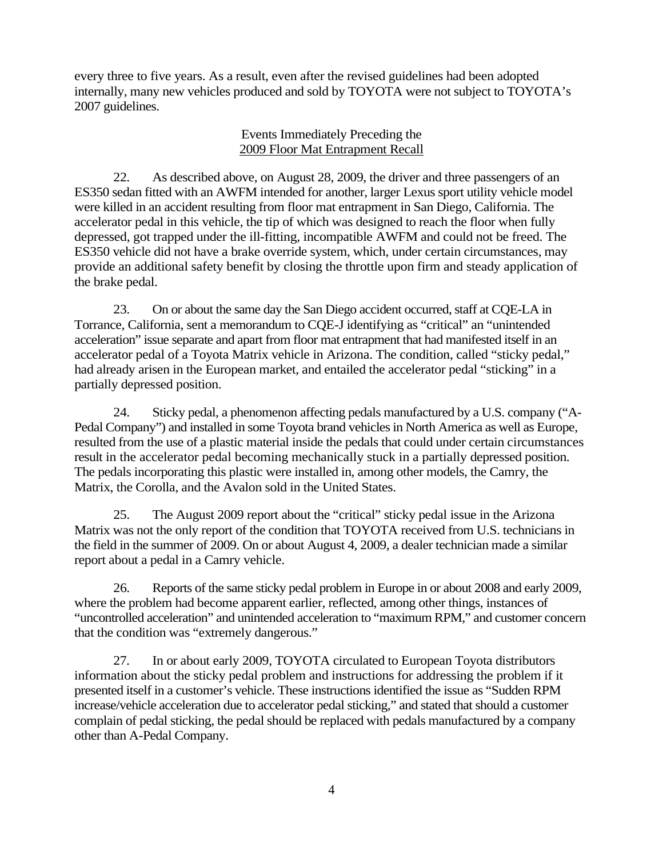every three to five years. As a result, even after the revised guidelines had been adopted internally, many new vehicles produced and sold by TOYOTA were not subject to TOYOTA's 2007 guidelines.

## Events Immediately Preceding the 2009 Floor Mat Entrapment Recall

22. As described above, on August 28, 2009, the driver and three passengers of an ES350 sedan fitted with an AWFM intended for another, larger Lexus sport utility vehicle model were killed in an accident resulting from floor mat entrapment in San Diego, California. The accelerator pedal in this vehicle, the tip of which was designed to reach the floor when fully depressed, got trapped under the ill-fitting, incompatible AWFM and could not be freed. The ES350 vehicle did not have a brake override system, which, under certain circumstances, may provide an additional safety benefit by closing the throttle upon firm and steady application of the brake pedal.

23. On or about the same day the San Diego accident occurred, staff at CQE-LA in Torrance, California, sent a memorandum to CQE-J identifying as "critical" an "unintended acceleration" issue separate and apart from floor mat entrapment that had manifested itself in an accelerator pedal of a Toyota Matrix vehicle in Arizona. The condition, called "sticky pedal," had already arisen in the European market, and entailed the accelerator pedal "sticking" in a partially depressed position.

24. Sticky pedal, a phenomenon affecting pedals manufactured by a U.S. company ("A-Pedal Company") and installed in some Toyota brand vehicles in North America as well as Europe, resulted from the use of a plastic material inside the pedals that could under certain circumstances result in the accelerator pedal becoming mechanically stuck in a partially depressed position. The pedals incorporating this plastic were installed in, among other models, the Camry, the Matrix, the Corolla, and the Avalon sold in the United States.

25. The August 2009 report about the "critical" sticky pedal issue in the Arizona Matrix was not the only report of the condition that TOYOTA received from U.S. technicians in the field in the summer of 2009. On or about August 4, 2009, a dealer technician made a similar report about a pedal in a Camry vehicle.

26. Reports of the same sticky pedal problem in Europe in or about 2008 and early 2009, where the problem had become apparent earlier, reflected, among other things, instances of "uncontrolled acceleration" and unintended acceleration to "maximum RPM," and customer concern that the condition was "extremely dangerous."

27. In or about early 2009, TOYOTA circulated to European Toyota distributors information about the sticky pedal problem and instructions for addressing the problem if it presented itself in a customer's vehicle. These instructions identified the issue as "Sudden RPM increase/vehicle acceleration due to accelerator pedal sticking," and stated that should a customer complain of pedal sticking, the pedal should be replaced with pedals manufactured by a company other than A-Pedal Company.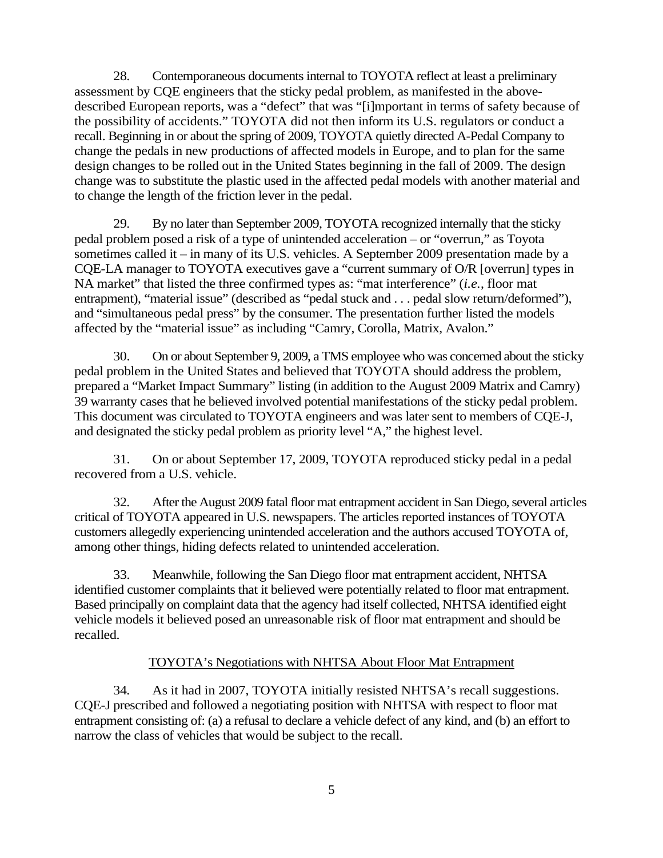28. Contemporaneous documents internal to TOYOTA reflect at least a preliminary assessment by CQE engineers that the sticky pedal problem, as manifested in the abovedescribed European reports, was a "defect" that was "[i]mportant in terms of safety because of the possibility of accidents." TOYOTA did not then inform its U.S. regulators or conduct a recall. Beginning in or about the spring of 2009, TOYOTA quietly directed A-Pedal Company to change the pedals in new productions of affected models in Europe, and to plan for the same design changes to be rolled out in the United States beginning in the fall of 2009. The design change was to substitute the plastic used in the affected pedal models with another material and to change the length of the friction lever in the pedal.

29. By no later than September 2009, TOYOTA recognized internally that the sticky pedal problem posed a risk of a type of unintended acceleration – or "overrun," as Toyota sometimes called it – in many of its U.S. vehicles. A September 2009 presentation made by a CQE-LA manager to TOYOTA executives gave a "current summary of O/R [overrun] types in NA market" that listed the three confirmed types as: "mat interference" (*i.e.*, floor mat entrapment), "material issue" (described as "pedal stuck and . . . pedal slow return/deformed"), and "simultaneous pedal press" by the consumer. The presentation further listed the models affected by the "material issue" as including "Camry, Corolla, Matrix, Avalon."

30. On or about September 9, 2009, a TMS employee who was concerned about the sticky pedal problem in the United States and believed that TOYOTA should address the problem, prepared a "Market Impact Summary" listing (in addition to the August 2009 Matrix and Camry) 39 warranty cases that he believed involved potential manifestations of the sticky pedal problem. This document was circulated to TOYOTA engineers and was later sent to members of CQE-J, and designated the sticky pedal problem as priority level "A," the highest level.

31. On or about September 17, 2009, TOYOTA reproduced sticky pedal in a pedal recovered from a U.S. vehicle.

32. After the August 2009 fatal floor mat entrapment accident in San Diego, several articles critical of TOYOTA appeared in U.S. newspapers. The articles reported instances of TOYOTA customers allegedly experiencing unintended acceleration and the authors accused TOYOTA of, among other things, hiding defects related to unintended acceleration.

33. Meanwhile, following the San Diego floor mat entrapment accident, NHTSA identified customer complaints that it believed were potentially related to floor mat entrapment. Based principally on complaint data that the agency had itself collected, NHTSA identified eight vehicle models it believed posed an unreasonable risk of floor mat entrapment and should be recalled.

## TOYOTA's Negotiations with NHTSA About Floor Mat Entrapment

34. As it had in 2007, TOYOTA initially resisted NHTSA's recall suggestions. CQE-J prescribed and followed a negotiating position with NHTSA with respect to floor mat entrapment consisting of: (a) a refusal to declare a vehicle defect of any kind, and (b) an effort to narrow the class of vehicles that would be subject to the recall.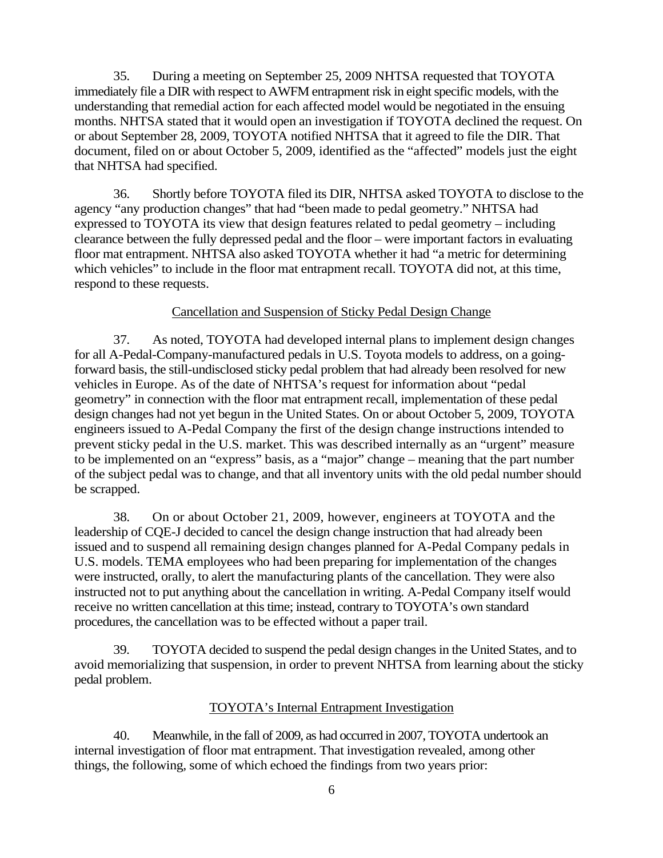35. During a meeting on September 25, 2009 NHTSA requested that TOYOTA immediately file a DIR with respect to AWFM entrapment risk in eight specific models, with the understanding that remedial action for each affected model would be negotiated in the ensuing months. NHTSA stated that it would open an investigation if TOYOTA declined the request. On or about September 28, 2009, TOYOTA notified NHTSA that it agreed to file the DIR. That document, filed on or about October 5, 2009, identified as the "affected" models just the eight that NHTSA had specified.

36. Shortly before TOYOTA filed its DIR, NHTSA asked TOYOTA to disclose to the agency "any production changes" that had "been made to pedal geometry." NHTSA had expressed to TOYOTA its view that design features related to pedal geometry – including clearance between the fully depressed pedal and the floor – were important factors in evaluating floor mat entrapment. NHTSA also asked TOYOTA whether it had "a metric for determining which vehicles" to include in the floor mat entrapment recall. TOYOTA did not, at this time, respond to these requests.

#### Cancellation and Suspension of Sticky Pedal Design Change

37. As noted, TOYOTA had developed internal plans to implement design changes for all A-Pedal-Company-manufactured pedals in U.S. Toyota models to address, on a goingforward basis, the still-undisclosed sticky pedal problem that had already been resolved for new vehicles in Europe. As of the date of NHTSA's request for information about "pedal geometry" in connection with the floor mat entrapment recall, implementation of these pedal design changes had not yet begun in the United States. On or about October 5, 2009, TOYOTA engineers issued to A-Pedal Company the first of the design change instructions intended to prevent sticky pedal in the U.S. market. This was described internally as an "urgent" measure to be implemented on an "express" basis, as a "major" change – meaning that the part number of the subject pedal was to change, and that all inventory units with the old pedal number should be scrapped.

38. On or about October 21, 2009, however, engineers at TOYOTA and the leadership of CQE-J decided to cancel the design change instruction that had already been issued and to suspend all remaining design changes planned for A-Pedal Company pedals in U.S. models. TEMA employees who had been preparing for implementation of the changes were instructed, orally, to alert the manufacturing plants of the cancellation. They were also instructed not to put anything about the cancellation in writing. A-Pedal Company itself would receive no written cancellation at this time; instead, contrary to TOYOTA's own standard procedures, the cancellation was to be effected without a paper trail.

39. TOYOTA decided to suspend the pedal design changes in the United States, and to avoid memorializing that suspension, in order to prevent NHTSA from learning about the sticky pedal problem.

#### TOYOTA's Internal Entrapment Investigation

40. Meanwhile, in the fall of 2009, as had occurred in 2007, TOYOTA undertook an internal investigation of floor mat entrapment. That investigation revealed, among other things, the following, some of which echoed the findings from two years prior: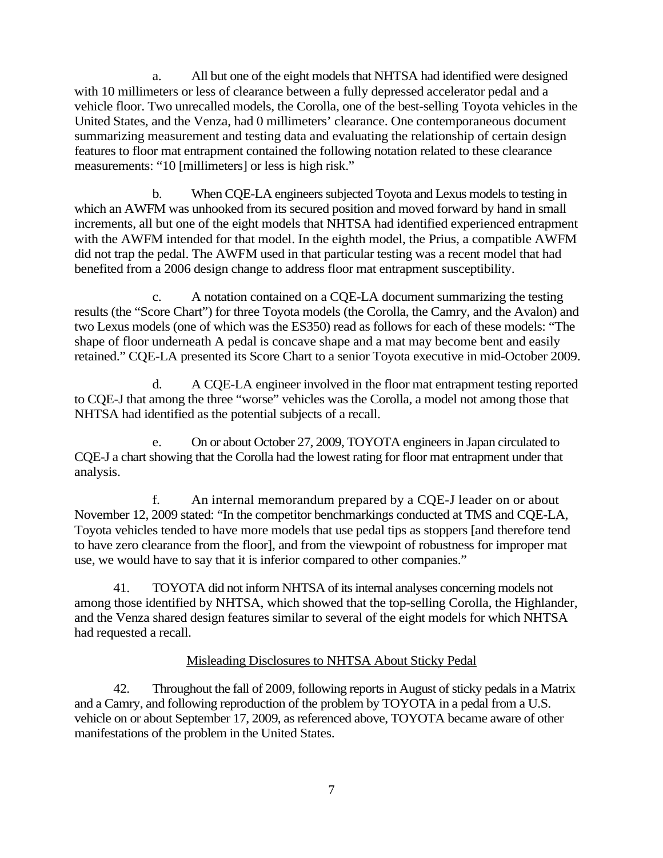a. All but one of the eight models that NHTSA had identified were designed with 10 millimeters or less of clearance between a fully depressed accelerator pedal and a vehicle floor. Two unrecalled models, the Corolla, one of the best-selling Toyota vehicles in the United States, and the Venza, had 0 millimeters' clearance. One contemporaneous document summarizing measurement and testing data and evaluating the relationship of certain design features to floor mat entrapment contained the following notation related to these clearance measurements: "10 [millimeters] or less is high risk."

b. When CQE-LA engineers subjected Toyota and Lexus models to testing in which an AWFM was unhooked from its secured position and moved forward by hand in small increments, all but one of the eight models that NHTSA had identified experienced entrapment with the AWFM intended for that model. In the eighth model, the Prius, a compatible AWFM did not trap the pedal. The AWFM used in that particular testing was a recent model that had benefited from a 2006 design change to address floor mat entrapment susceptibility.

c. A notation contained on a CQE-LA document summarizing the testing results (the "Score Chart") for three Toyota models (the Corolla, the Camry, and the Avalon) and two Lexus models (one of which was the ES350) read as follows for each of these models: "The shape of floor underneath A pedal is concave shape and a mat may become bent and easily retained." CQE-LA presented its Score Chart to a senior Toyota executive in mid-October 2009.

d. A CQE-LA engineer involved in the floor mat entrapment testing reported to CQE-J that among the three "worse" vehicles was the Corolla, a model not among those that NHTSA had identified as the potential subjects of a recall.

e. On or about October 27, 2009, TOYOTA engineers in Japan circulated to CQE-J a chart showing that the Corolla had the lowest rating for floor mat entrapment under that analysis.

f. An internal memorandum prepared by a CQE-J leader on or about November 12, 2009 stated: "In the competitor benchmarkings conducted at TMS and CQE-LA, Toyota vehicles tended to have more models that use pedal tips as stoppers [and therefore tend to have zero clearance from the floor], and from the viewpoint of robustness for improper mat use, we would have to say that it is inferior compared to other companies."

41. TOYOTA did not inform NHTSA of its internal analyses concerning models not among those identified by NHTSA, which showed that the top-selling Corolla, the Highlander, and the Venza shared design features similar to several of the eight models for which NHTSA had requested a recall.

## Misleading Disclosures to NHTSA About Sticky Pedal

42. Throughout the fall of 2009, following reports in August of sticky pedals in a Matrix and a Camry, and following reproduction of the problem by TOYOTA in a pedal from a U.S. vehicle on or about September 17, 2009, as referenced above, TOYOTA became aware of other manifestations of the problem in the United States.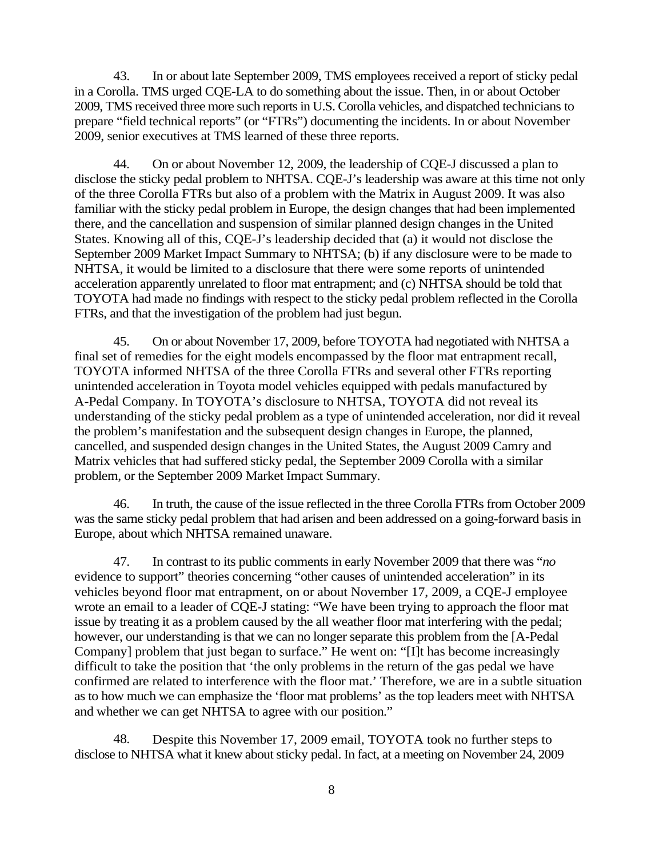43. In or about late September 2009, TMS employees received a report of sticky pedal in a Corolla. TMS urged CQE-LA to do something about the issue. Then, in or about October 2009, TMS received three more such reports in U.S. Corolla vehicles, and dispatched technicians to prepare "field technical reports" (or "FTRs") documenting the incidents. In or about November 2009, senior executives at TMS learned of these three reports.

44. On or about November 12, 2009, the leadership of CQE-J discussed a plan to disclose the sticky pedal problem to NHTSA. CQE-J's leadership was aware at this time not only of the three Corolla FTRs but also of a problem with the Matrix in August 2009. It was also familiar with the sticky pedal problem in Europe, the design changes that had been implemented there, and the cancellation and suspension of similar planned design changes in the United States. Knowing all of this, CQE-J's leadership decided that (a) it would not disclose the September 2009 Market Impact Summary to NHTSA; (b) if any disclosure were to be made to NHTSA, it would be limited to a disclosure that there were some reports of unintended acceleration apparently unrelated to floor mat entrapment; and (c) NHTSA should be told that TOYOTA had made no findings with respect to the sticky pedal problem reflected in the Corolla FTRs, and that the investigation of the problem had just begun.

45. On or about November 17, 2009, before TOYOTA had negotiated with NHTSA a final set of remedies for the eight models encompassed by the floor mat entrapment recall, TOYOTA informed NHTSA of the three Corolla FTRs and several other FTRs reporting unintended acceleration in Toyota model vehicles equipped with pedals manufactured by A-Pedal Company. In TOYOTA's disclosure to NHTSA, TOYOTA did not reveal its understanding of the sticky pedal problem as a type of unintended acceleration, nor did it reveal the problem's manifestation and the subsequent design changes in Europe, the planned, cancelled, and suspended design changes in the United States, the August 2009 Camry and Matrix vehicles that had suffered sticky pedal, the September 2009 Corolla with a similar problem, or the September 2009 Market Impact Summary.

46. In truth, the cause of the issue reflected in the three Corolla FTRs from October 2009 was the same sticky pedal problem that had arisen and been addressed on a going-forward basis in Europe, about which NHTSA remained unaware.

47. In contrast to its public comments in early November 2009 that there was "*no* evidence to support" theories concerning "other causes of unintended acceleration" in its vehicles beyond floor mat entrapment, on or about November 17, 2009, a CQE-J employee wrote an email to a leader of CQE-J stating: "We have been trying to approach the floor mat issue by treating it as a problem caused by the all weather floor mat interfering with the pedal; however, our understanding is that we can no longer separate this problem from the [A-Pedal Company] problem that just began to surface." He went on: "[I]t has become increasingly difficult to take the position that 'the only problems in the return of the gas pedal we have confirmed are related to interference with the floor mat.' Therefore, we are in a subtle situation as to how much we can emphasize the 'floor mat problems' as the top leaders meet with NHTSA and whether we can get NHTSA to agree with our position."

48. Despite this November 17, 2009 email, TOYOTA took no further steps to disclose to NHTSA what it knew about sticky pedal. In fact, at a meeting on November 24, 2009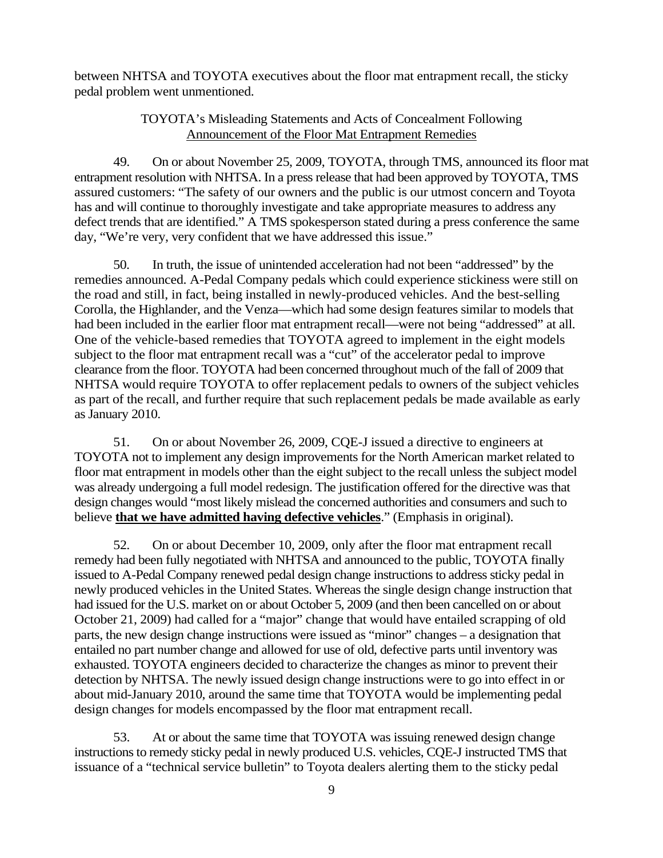between NHTSA and TOYOTA executives about the floor mat entrapment recall, the sticky pedal problem went unmentioned.

## TOYOTA's Misleading Statements and Acts of Concealment Following Announcement of the Floor Mat Entrapment Remedies

49. On or about November 25, 2009, TOYOTA, through TMS, announced its floor mat entrapment resolution with NHTSA. In a press release that had been approved by TOYOTA, TMS assured customers: "The safety of our owners and the public is our utmost concern and Toyota has and will continue to thoroughly investigate and take appropriate measures to address any defect trends that are identified." A TMS spokesperson stated during a press conference the same day, "We're very, very confident that we have addressed this issue."

50. In truth, the issue of unintended acceleration had not been "addressed" by the remedies announced. A-Pedal Company pedals which could experience stickiness were still on the road and still, in fact, being installed in newly-produced vehicles. And the best-selling Corolla, the Highlander, and the Venza—which had some design features similar to models that had been included in the earlier floor mat entrapment recall—were not being "addressed" at all. One of the vehicle-based remedies that TOYOTA agreed to implement in the eight models subject to the floor mat entrapment recall was a "cut" of the accelerator pedal to improve clearance from the floor. TOYOTA had been concerned throughout much of the fall of 2009 that NHTSA would require TOYOTA to offer replacement pedals to owners of the subject vehicles as part of the recall, and further require that such replacement pedals be made available as early as January 2010.

51. On or about November 26, 2009, CQE-J issued a directive to engineers at TOYOTA not to implement any design improvements for the North American market related to floor mat entrapment in models other than the eight subject to the recall unless the subject model was already undergoing a full model redesign. The justification offered for the directive was that design changes would "most likely mislead the concerned authorities and consumers and such to believe **that we have admitted having defective vehicles**." (Emphasis in original).

52. On or about December 10, 2009, only after the floor mat entrapment recall remedy had been fully negotiated with NHTSA and announced to the public, TOYOTA finally issued to A-Pedal Company renewed pedal design change instructions to address sticky pedal in newly produced vehicles in the United States. Whereas the single design change instruction that had issued for the U.S. market on or about October 5, 2009 (and then been cancelled on or about October 21, 2009) had called for a "major" change that would have entailed scrapping of old parts, the new design change instructions were issued as "minor" changes – a designation that entailed no part number change and allowed for use of old, defective parts until inventory was exhausted. TOYOTA engineers decided to characterize the changes as minor to prevent their detection by NHTSA. The newly issued design change instructions were to go into effect in or about mid-January 2010, around the same time that TOYOTA would be implementing pedal design changes for models encompassed by the floor mat entrapment recall.

53. At or about the same time that TOYOTA was issuing renewed design change instructions to remedy sticky pedal in newly produced U.S. vehicles, CQE-J instructed TMS that issuance of a "technical service bulletin" to Toyota dealers alerting them to the sticky pedal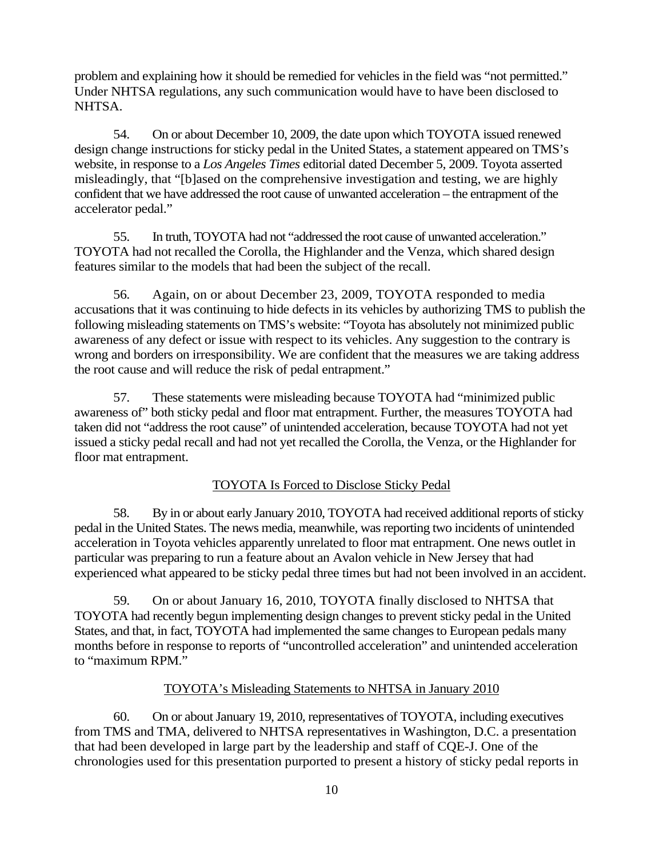problem and explaining how it should be remedied for vehicles in the field was "not permitted." Under NHTSA regulations, any such communication would have to have been disclosed to NHTSA.

54. On or about December 10, 2009, the date upon which TOYOTA issued renewed design change instructions for sticky pedal in the United States, a statement appeared on TMS's website, in response to a *Los Angeles Times* editorial dated December 5, 2009. Toyota asserted misleadingly, that "[b]ased on the comprehensive investigation and testing, we are highly confident that we have addressed the root cause of unwanted acceleration – the entrapment of the accelerator pedal."

55. In truth, TOYOTA had not "addressed the root cause of unwanted acceleration." TOYOTA had not recalled the Corolla, the Highlander and the Venza, which shared design features similar to the models that had been the subject of the recall.

56. Again, on or about December 23, 2009, TOYOTA responded to media accusations that it was continuing to hide defects in its vehicles by authorizing TMS to publish the following misleading statements on TMS's website: "Toyota has absolutely not minimized public awareness of any defect or issue with respect to its vehicles. Any suggestion to the contrary is wrong and borders on irresponsibility. We are confident that the measures we are taking address the root cause and will reduce the risk of pedal entrapment."

57. These statements were misleading because TOYOTA had "minimized public awareness of" both sticky pedal and floor mat entrapment. Further, the measures TOYOTA had taken did not "address the root cause" of unintended acceleration, because TOYOTA had not yet issued a sticky pedal recall and had not yet recalled the Corolla, the Venza, or the Highlander for floor mat entrapment.

## TOYOTA Is Forced to Disclose Sticky Pedal

58. By in or about early January 2010, TOYOTA had received additional reports of sticky pedal in the United States. The news media, meanwhile, was reporting two incidents of unintended acceleration in Toyota vehicles apparently unrelated to floor mat entrapment. One news outlet in particular was preparing to run a feature about an Avalon vehicle in New Jersey that had experienced what appeared to be sticky pedal three times but had not been involved in an accident.

59. On or about January 16, 2010, TOYOTA finally disclosed to NHTSA that TOYOTA had recently begun implementing design changes to prevent sticky pedal in the United States, and that, in fact, TOYOTA had implemented the same changes to European pedals many months before in response to reports of "uncontrolled acceleration" and unintended acceleration to "maximum RPM."

#### TOYOTA's Misleading Statements to NHTSA in January 2010

60. On or about January 19, 2010, representatives of TOYOTA, including executives from TMS and TMA, delivered to NHTSA representatives in Washington, D.C. a presentation that had been developed in large part by the leadership and staff of CQE-J. One of the chronologies used for this presentation purported to present a history of sticky pedal reports in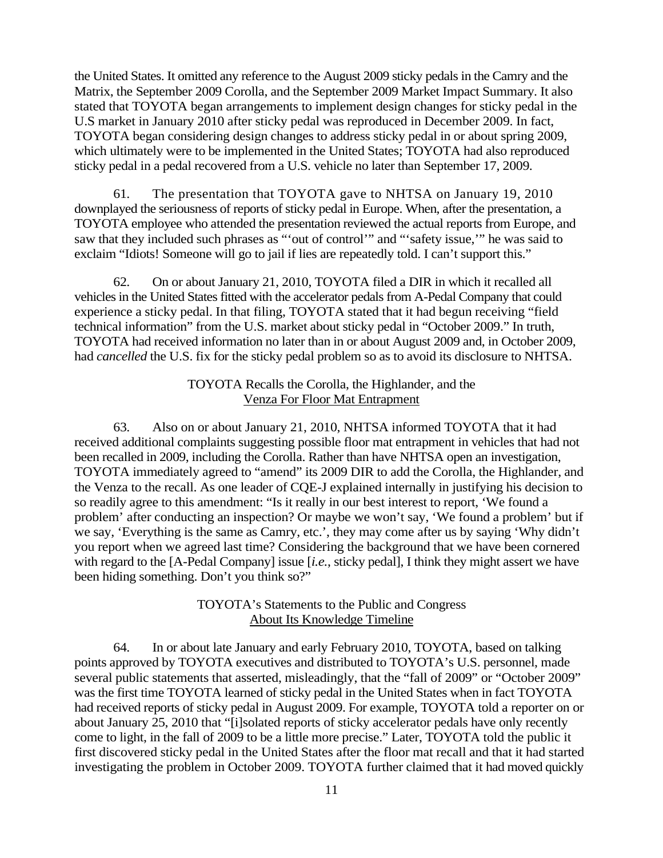the United States. It omitted any reference to the August 2009 sticky pedals in the Camry and the Matrix, the September 2009 Corolla, and the September 2009 Market Impact Summary. It also stated that TOYOTA began arrangements to implement design changes for sticky pedal in the U.S market in January 2010 after sticky pedal was reproduced in December 2009. In fact, TOYOTA began considering design changes to address sticky pedal in or about spring 2009, which ultimately were to be implemented in the United States; TOYOTA had also reproduced sticky pedal in a pedal recovered from a U.S. vehicle no later than September 17, 2009.

61. The presentation that TOYOTA gave to NHTSA on January 19, 2010 downplayed the seriousness of reports of sticky pedal in Europe. When, after the presentation, a TOYOTA employee who attended the presentation reviewed the actual reports from Europe, and saw that they included such phrases as "'out of control'" and "'safety issue,'" he was said to exclaim "Idiots! Someone will go to jail if lies are repeatedly told. I can't support this."

62. On or about January 21, 2010, TOYOTA filed a DIR in which it recalled all vehicles in the United States fitted with the accelerator pedals from A-Pedal Company that could experience a sticky pedal. In that filing, TOYOTA stated that it had begun receiving "field technical information" from the U.S. market about sticky pedal in "October 2009." In truth, TOYOTA had received information no later than in or about August 2009 and, in October 2009, had *cancelled* the U.S. fix for the sticky pedal problem so as to avoid its disclosure to NHTSA.

### TOYOTA Recalls the Corolla, the Highlander, and the Venza For Floor Mat Entrapment

63. Also on or about January 21, 2010, NHTSA informed TOYOTA that it had received additional complaints suggesting possible floor mat entrapment in vehicles that had not been recalled in 2009, including the Corolla. Rather than have NHTSA open an investigation, TOYOTA immediately agreed to "amend" its 2009 DIR to add the Corolla, the Highlander, and the Venza to the recall. As one leader of CQE-J explained internally in justifying his decision to so readily agree to this amendment: "Is it really in our best interest to report, 'We found a problem' after conducting an inspection? Or maybe we won't say, 'We found a problem' but if we say, 'Everything is the same as Camry, etc.', they may come after us by saying 'Why didn't you report when we agreed last time? Considering the background that we have been cornered with regard to the [A-Pedal Company] issue [*i.e.*, sticky pedal], I think they might assert we have been hiding something. Don't you think so?"

### TOYOTA's Statements to the Public and Congress About Its Knowledge Timeline

64. In or about late January and early February 2010, TOYOTA, based on talking points approved by TOYOTA executives and distributed to TOYOTA's U.S. personnel, made several public statements that asserted, misleadingly, that the "fall of 2009" or "October 2009" was the first time TOYOTA learned of sticky pedal in the United States when in fact TOYOTA had received reports of sticky pedal in August 2009. For example, TOYOTA told a reporter on or about January 25, 2010 that "[i]solated reports of sticky accelerator pedals have only recently come to light, in the fall of 2009 to be a little more precise." Later, TOYOTA told the public it first discovered sticky pedal in the United States after the floor mat recall and that it had started investigating the problem in October 2009. TOYOTA further claimed that it had moved quickly